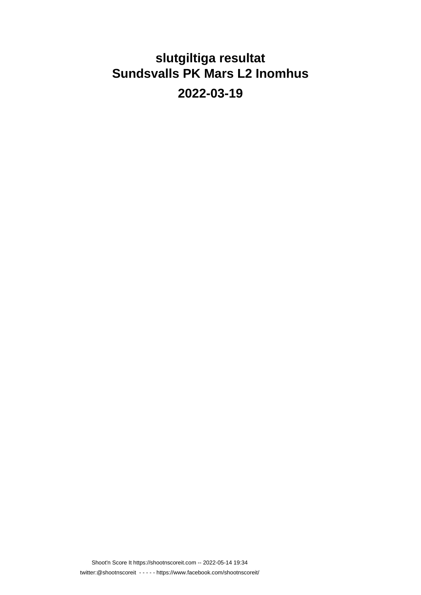# **slutgiltiga resultat Sundsvalls PK Mars L2 Inomhus**

**2022-03-19**

Shoot'n Score It https://shootnscoreit.com -- 2022-05-14 19:34 twitter:@shootnscoreit - - - - - https://www.facebook.com/shootnscoreit/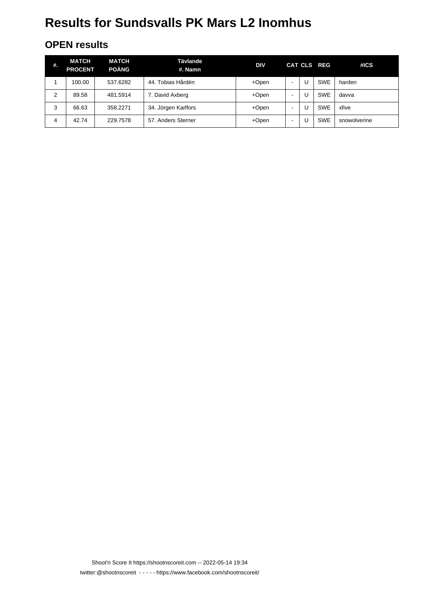#### **OPEN results**

| #. | <b>MATCH</b><br><b>PROCENT</b> | <b>MATCH</b><br><b>POÄNG</b> | Tävlande<br>#. Namn  | <b>DIV</b> |                          | CAT CLS REG | #ICS         |
|----|--------------------------------|------------------------------|----------------------|------------|--------------------------|-------------|--------------|
|    | 100.00                         | 537.6282                     | Tobias Hårdén<br>44. | +Open      | $\overline{\phantom{a}}$ | <b>SWE</b>  | harden       |
| 2  | 89.58                          | 481.5914                     | 7. David Axberg      | +Open      | $\overline{\phantom{0}}$ | <b>SWE</b>  | davva        |
| 3  | 66.63                          | 358.2271                     | 34. Jörgen Karlfors  | +Open      | ۰                        | <b>SWE</b>  | xfive        |
| 4  | 42.74                          | 229.7578                     | 57. Anders Sterner   | +Open      | ٠                        | <b>SWE</b>  | snowolverine |

Shoot'n Score It https://shootnscoreit.com -- 2022-05-14 19:34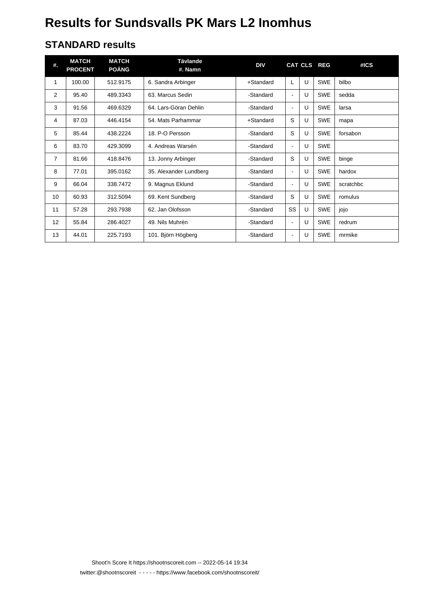#### **STANDARD results**

| #. | <b>MATCH</b><br><b>PROCENT</b> | <b>MATCH</b><br><b>POÄNG</b> | <b>Tävlande</b><br>#. Namn | DIV       |                          |   | CAT CLS REG | #ICS      |
|----|--------------------------------|------------------------------|----------------------------|-----------|--------------------------|---|-------------|-----------|
| 1  | 100.00                         | 512.9175                     | 6. Sandra Arbinger         | +Standard | L                        | U | <b>SWE</b>  | bilbo     |
| 2  | 95.40                          | 489.3343                     | 63. Marcus Sedin           | -Standard | $\overline{\phantom{a}}$ | U | <b>SWE</b>  | sedda     |
| 3  | 91.56                          | 469.6329                     | 64. Lars-Göran Dehlin      | -Standard | $\blacksquare$           | U | <b>SWE</b>  | larsa     |
| 4  | 87.03                          | 446.4154                     | 54. Mats Parhammar         | +Standard | S                        | U | <b>SWE</b>  | mapa      |
| 5  | 85.44                          | 438.2224                     | 18. P-O Persson            | -Standard | S                        | U | <b>SWE</b>  | forsabon  |
| 6  | 83.70                          | 429.3099                     | 4. Andreas Warsén          | -Standard | $\blacksquare$           | U | <b>SWE</b>  |           |
| 7  | 81.66                          | 418.8476                     | 13. Jonny Arbinger         | -Standard | S                        | U | <b>SWE</b>  | binge     |
| 8  | 77.01                          | 395.0162                     | 35. Alexander Lundberg     | -Standard | $\blacksquare$           | U | <b>SWE</b>  | hardox    |
| 9  | 66.04                          | 338.7472                     | 9. Magnus Eklund           | -Standard | $\overline{\phantom{a}}$ | U | <b>SWE</b>  | scratchbc |
| 10 | 60.93                          | 312.5094                     | 69. Kent Sundberg          | -Standard | S                        | U | <b>SWE</b>  | romulus   |
| 11 | 57.28                          | 293.7938                     | 62. Jan Olofsson           | -Standard | SS                       | U | <b>SWE</b>  | jojo      |
| 12 | 55.84                          | 286.4027                     | 49. Nils Muhrén            | -Standard | $\blacksquare$           | U | <b>SWE</b>  | redrum    |
| 13 | 44.01                          | 225.7193                     | 101. Björn Högberg         | -Standard | $\overline{\phantom{a}}$ | U | <b>SWE</b>  | mrmike    |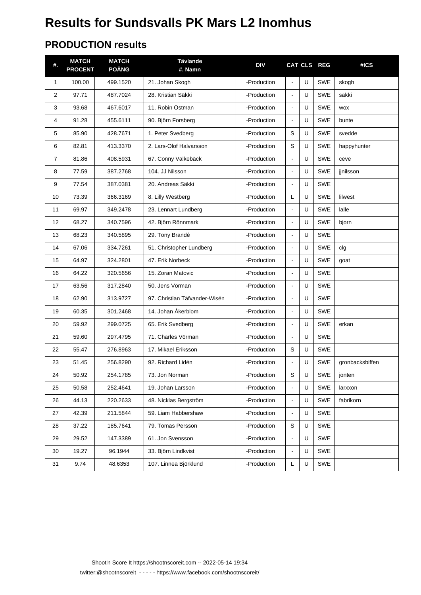#### **PRODUCTION results**

| #. | <b>MATCH</b><br><b>PROCENT</b> | <b>MATCH</b><br><b>POÄNG</b> | <b>Tävlande</b><br>#. Namn    | <b>DIV</b>  |                |   | CAT CLS REG | #ICS            |
|----|--------------------------------|------------------------------|-------------------------------|-------------|----------------|---|-------------|-----------------|
| 1  | 100.00                         | 499.1520                     | 21. Johan Skogh               | -Production | $\Box$         | U | <b>SWE</b>  | skogh           |
| 2  | 97.71                          | 487.7024                     | 28. Kristian Säkki            | -Production | $\blacksquare$ | U | <b>SWE</b>  | sakki           |
| 3  | 93.68                          | 467.6017                     | 11. Robin Östman              | -Production | $\blacksquare$ | U | <b>SWE</b>  | <b>WOX</b>      |
| 4  | 91.28                          | 455.6111                     | 90. Björn Forsberg            | -Production | $\blacksquare$ | U | <b>SWE</b>  | bunte           |
| 5  | 85.90                          | 428.7671                     | 1. Peter Svedberg             | -Production | S              | U | <b>SWE</b>  | svedde          |
| 6  | 82.81                          | 413.3370                     | 2. Lars-Olof Halvarsson       | -Production | S              | U | <b>SWE</b>  | happyhunter     |
| 7  | 81.86                          | 408.5931                     | 67. Conny Valkebäck           | -Production | $\blacksquare$ | U | <b>SWE</b>  | ceve            |
| 8  | 77.59                          | 387.2768                     | 104. JJ Nilsson               | -Production | $\blacksquare$ | U | <b>SWE</b>  | jinilsson       |
| 9  | 77.54                          | 387.0381                     | 20. Andreas Säkki             | -Production | $\blacksquare$ | U | <b>SWE</b>  |                 |
| 10 | 73.39                          | 366.3169                     | 8. Lilly Westberg             | -Production | L              | U | <b>SWE</b>  | lilwest         |
| 11 | 69.97                          | 349.2478                     | 23. Lennart Lundberg          | -Production | $\blacksquare$ | U | <b>SWE</b>  | lalle           |
| 12 | 68.27                          | 340.7596                     | 42. Björn Rönnmark            | -Production | $\blacksquare$ | U | <b>SWE</b>  | bjorn           |
| 13 | 68.23                          | 340.5895                     | 29. Tony Brandé               | -Production | $\blacksquare$ | U | <b>SWE</b>  |                 |
| 14 | 67.06                          | 334.7261                     | 51. Christopher Lundberg      | -Production | $\blacksquare$ | U | <b>SWE</b>  | clg             |
| 15 | 64.97                          | 324.2801                     | 47. Erik Norbeck              | -Production | $\blacksquare$ | U | <b>SWE</b>  | goat            |
| 16 | 64.22                          | 320.5656                     | 15. Zoran Matovic             | -Production | $\blacksquare$ | U | <b>SWE</b>  |                 |
| 17 | 63.56                          | 317.2840                     | 50. Jens Vörman               | -Production | $\blacksquare$ | U | <b>SWE</b>  |                 |
| 18 | 62.90                          | 313.9727                     | 97. Christian Täfvander-Wisén | -Production | $\blacksquare$ | U | <b>SWE</b>  |                 |
| 19 | 60.35                          | 301.2468                     | 14. Johan Åkerblom            | -Production | $\blacksquare$ | U | <b>SWE</b>  |                 |
| 20 | 59.92                          | 299.0725                     | 65. Erik Svedberg             | -Production | $\blacksquare$ | U | <b>SWE</b>  | erkan           |
| 21 | 59.60                          | 297.4795                     | 71. Charles Vörman            | -Production | $\Box$         | U | <b>SWE</b>  |                 |
| 22 | 55.47                          | 276.8963                     | 17. Mikael Eriksson           | -Production | S              | U | <b>SWE</b>  |                 |
| 23 | 51.45                          | 256.8290                     | 92. Richard Lidén             | -Production | $\blacksquare$ | U | <b>SWE</b>  | gronbacksbiffen |
| 24 | 50.92                          | 254.1785                     | 73. Jon Norman                | -Production | S              | U | SWE         | jonten          |
| 25 | 50.58                          | 252.4641                     | 19. Johan Larsson             | -Production |                | U | SWE         | larxxon         |
| 26 | 44.13                          | 220.2633                     | 48. Nicklas Bergström         | -Production | $\blacksquare$ | U | SWE         | fabrikorn       |
| 27 | 42.39                          | 211.5844                     | 59. Liam Habbershaw           | -Production | $\blacksquare$ | U | SWE         |                 |
| 28 | 37.22                          | 185.7641                     | 79. Tomas Persson             | -Production | S              | U | SWE         |                 |
| 29 | 29.52                          | 147.3389                     | 61. Jon Svensson              | -Production | $\blacksquare$ | U | SWE         |                 |
| 30 | 19.27                          | 96.1944                      | 33. Björn Lindkvist           | -Production | $\Box$         | U | SWE         |                 |
| 31 | 9.74                           | 48.6353                      | 107. Linnea Björklund         | -Production | L              | U | SWE         |                 |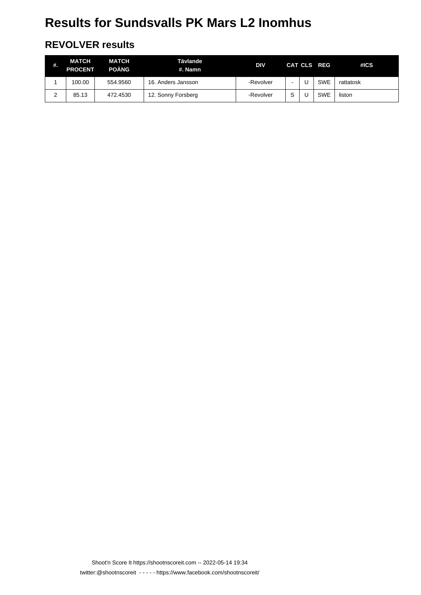#### **REVOLVER results**

| #.     | MATCH<br><b>PROCENT</b> | <b>MATCH</b><br><b>POÄNG</b> | Tävlande<br>#. Namn | <b>DIV</b> |   | CAT CLS REG | #ICS      |
|--------|-------------------------|------------------------------|---------------------|------------|---|-------------|-----------|
|        | 100.00                  | 554.9560                     | 16. Anders Jansson  | -Revolver  |   | <b>SWE</b>  | rattatosk |
| ົ<br>∠ | 85.13                   | 472.4530                     | 12. Sonny Forsberg  | -Revolver  | S | <b>SWE</b>  | liston    |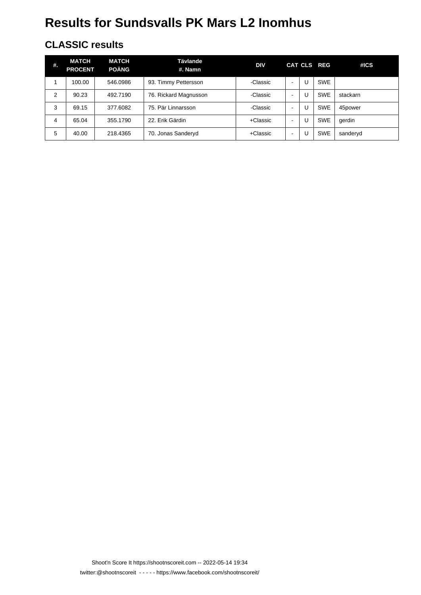#### **CLASSIC results**

| #. | MATCH<br><b>PROCENT</b> | <b>MATCH</b><br><b>POÄNG</b> | Tävlande<br>#. Namn   | <b>DIV</b> |                          | CAT CLS REG | #ICS     |
|----|-------------------------|------------------------------|-----------------------|------------|--------------------------|-------------|----------|
|    | 100.00                  | 546.0986                     | 93. Timmy Pettersson  | -Classic   | $\blacksquare$           | <b>SWE</b>  |          |
| 2  | 90.23                   | 492.7190                     | 76. Rickard Magnusson | -Classic   | $\blacksquare$           | <b>SWE</b>  | stackarn |
| 3  | 69.15                   | 377.6082                     | 75. Pär Linnarsson    | -Classic   | $\blacksquare$           | <b>SWE</b>  | 45power  |
| 4  | 65.04                   | 355.1790                     | 22. Erik Gärdin       | +Classic   | $\blacksquare$           | <b>SWE</b>  | gerdin   |
| 5  | 40.00                   | 218.4365                     | 70. Jonas Sanderyd    | +Classic   | $\overline{\phantom{a}}$ | <b>SWE</b>  | sanderyd |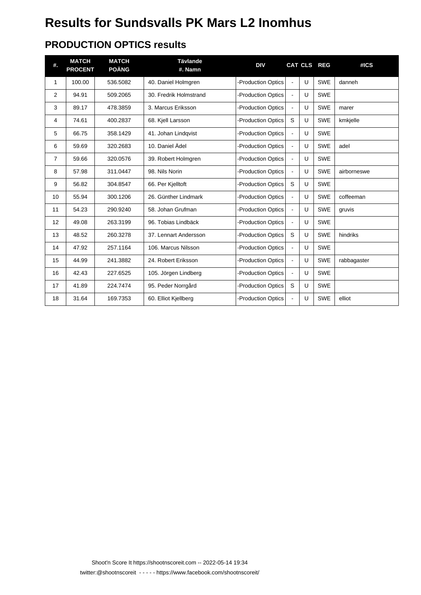### **PRODUCTION OPTICS results**

| #.             | <b>MATCH</b><br><b>PROCENT</b> | <b>MATCH</b><br><b>POÄNG</b> | <b>Tävlande</b><br>#. Namn | <b>DIV</b>               |                |   | CAT CLS REG | #ICS        |
|----------------|--------------------------------|------------------------------|----------------------------|--------------------------|----------------|---|-------------|-------------|
| 1              | 100.00                         | 536.5082                     | 40. Daniel Holmgren        | -Production Optics       | $\blacksquare$ | U | <b>SWE</b>  | danneh      |
| 2              | 94.91                          | 509.2065                     | 30. Fredrik Holmstrand     | -Production Optics       | $\blacksquare$ | U | <b>SWE</b>  |             |
| 3              | 89.17                          | 478.3859                     | 3. Marcus Eriksson         | -Production Optics       | $\blacksquare$ | U | <b>SWE</b>  | marer       |
| 4              | 74.61                          | 400.2837                     | 68. Kjell Larsson          | -Production Optics       | S              | U | <b>SWE</b>  | kmkjelle    |
| 5              | 66.75                          | 358.1429                     | 41. Johan Lindqvist        | -Production Optics       | $\blacksquare$ | U | <b>SWE</b>  |             |
| 6              | 59.69                          | 320.2683                     | 10. Daniel Ädel            | <b>Production Optics</b> | $\overline{a}$ | U | <b>SWE</b>  | adel        |
| $\overline{7}$ | 59.66                          | 320.0576                     | 39. Robert Holmgren        | <b>Production Optics</b> | $\blacksquare$ | U | <b>SWE</b>  |             |
| 8              | 57.98                          | 311.0447                     | 98. Nils Norin             | <b>Production Optics</b> | $\overline{a}$ | U | <b>SWE</b>  | airborneswe |
| 9              | 56.82                          | 304.8547                     | 66. Per Kjelltoft          | -Production Optics       | S              | U | <b>SWE</b>  |             |
| 10             | 55.94                          | 300.1206                     | 26. Günther Lindmark       | <b>Production Optics</b> |                | U | <b>SWE</b>  | coffeeman   |
| 11             | 54.23                          | 290.9240                     | 58. Johan Grufman          | <b>Production Optics</b> | $\blacksquare$ | U | <b>SWE</b>  | gruvis      |
| 12             | 49.08                          | 263.3199                     | 96. Tobias Lindbäck        | <b>Production Optics</b> | $\blacksquare$ | U | <b>SWE</b>  |             |
| 13             | 48.52                          | 260.3278                     | 37. Lennart Andersson      | <b>Production Optics</b> | S              | U | <b>SWE</b>  | hindriks    |
| 14             | 47.92                          | 257.1164                     | 106. Marcus Nilsson        | <b>Production Optics</b> | $\overline{a}$ | U | <b>SWE</b>  |             |
| 15             | 44.99                          | 241.3882                     | 24. Robert Eriksson        | <b>Production Optics</b> | $\blacksquare$ | U | <b>SWE</b>  | rabbagaster |
| 16             | 42.43                          | 227.6525                     | 105. Jörgen Lindberg       | <b>Production Optics</b> | $\blacksquare$ | U | <b>SWE</b>  |             |
| 17             | 41.89                          | 224.7474                     | 95. Peder Norrgård         | -Production Optics       | S              | U | <b>SWE</b>  |             |
| 18             | 31.64                          | 169.7353                     | 60. Elliot Kjellberg       | <b>Production Optics</b> |                | U | <b>SWE</b>  | elliot      |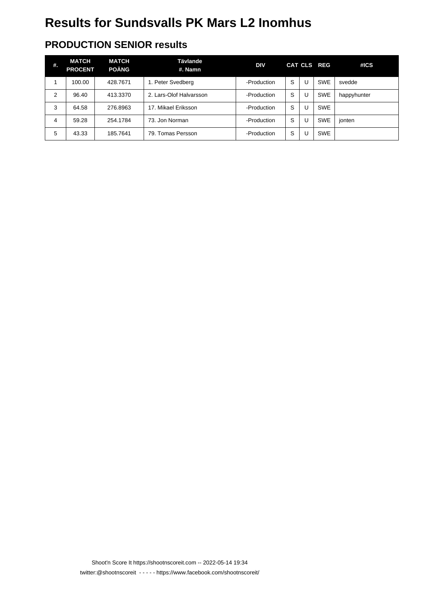### **PRODUCTION SENIOR results**

| #. | MATCH<br><b>PROCENT</b> | <b>MATCH</b><br><b>POÄNG</b> | Tävlande<br>#. Namn     | <b>DIV</b>  |   |   | CAT CLS REG | #ICS        |
|----|-------------------------|------------------------------|-------------------------|-------------|---|---|-------------|-------------|
|    | 100.00                  | 428.7671                     | 1. Peter Svedberg       | -Production | S | U | <b>SWE</b>  | svedde      |
| 2  | 96.40                   | 413.3370                     | 2. Lars-Olof Halvarsson | -Production | S | U | <b>SWE</b>  | happyhunter |
| 3  | 64.58                   | 276.8963                     | 17. Mikael Eriksson     | -Production | S | U | <b>SWE</b>  |             |
| 4  | 59.28                   | 254.1784                     | 73. Jon Norman          | -Production | S | U | <b>SWE</b>  | jonten      |
| 5  | 43.33                   | 185.7641                     | 79. Tomas Persson       | -Production | S | U | <b>SWE</b>  |             |